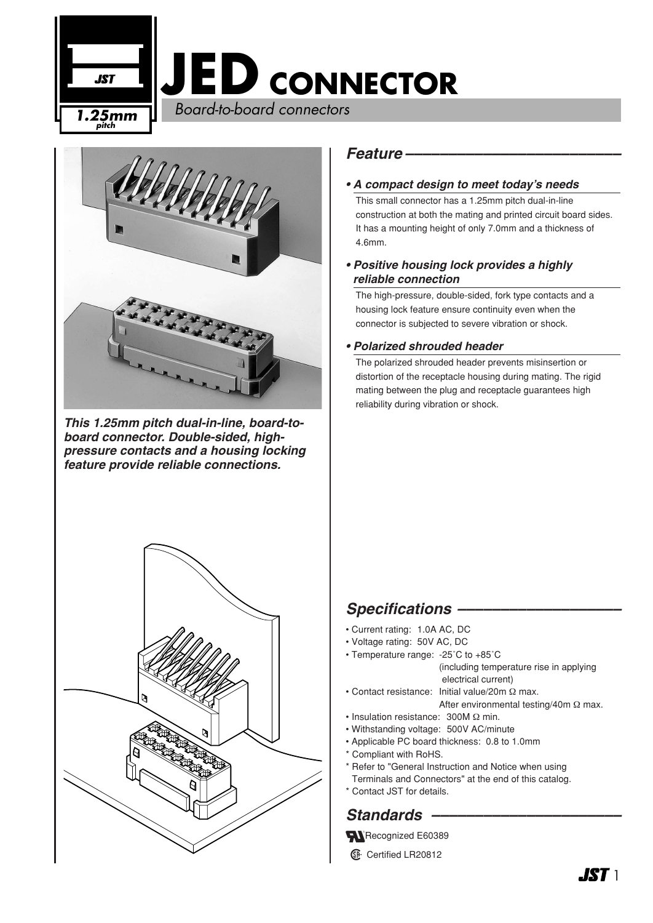



*This 1.25mm pitch dual-in-line, board-toboard connector. Double-sided, highpressure contacts and a housing locking feature provide reliable connections.*



#### *Feature –––––––––––––––––––––––––*

#### *• A compact design to meet today's needs*

This small connector has a 1.25mm pitch dual-in-line construction at both the mating and printed circuit board sides. It has a mounting height of only 7.0mm and a thickness of 4.6mm.

*• Positive housing lock provides a highly reliable connection*

The high-pressure, double-sided, fork type contacts and a housing lock feature ensure continuity even when the connector is subjected to severe vibration or shock.

#### *• Polarized shrouded header*

The polarized shrouded header prevents misinsertion or distortion of the receptacle housing during mating. The rigid mating between the plug and receptacle guarantees high reliability during vibration or shock.

## Specifications –

- Current rating: 1.0A AC, DC
- Voltage rating: 50V AC, DC
- Temperature range: -25˚C to +85˚C (including temperature rise in applying electrical current)
	-
- Contact resistance: Initial value/20m Ω max. After environmental testing/40m Ω max.
- Insulation resistance: 300M Ω min.
- Withstanding voltage: 500V AC/minute
- Applicable PC board thickness: 0.8 to 1.0mm
- \* Compliant with RoHS.
- \* Refer to "General Instruction and Notice when using
- Terminals and Connectors" at the end of this catalog.
- \* Contact JST for details.

## *Standards ––––––––––––––––––––––*

Recognized E60389

**1** Certified LR20812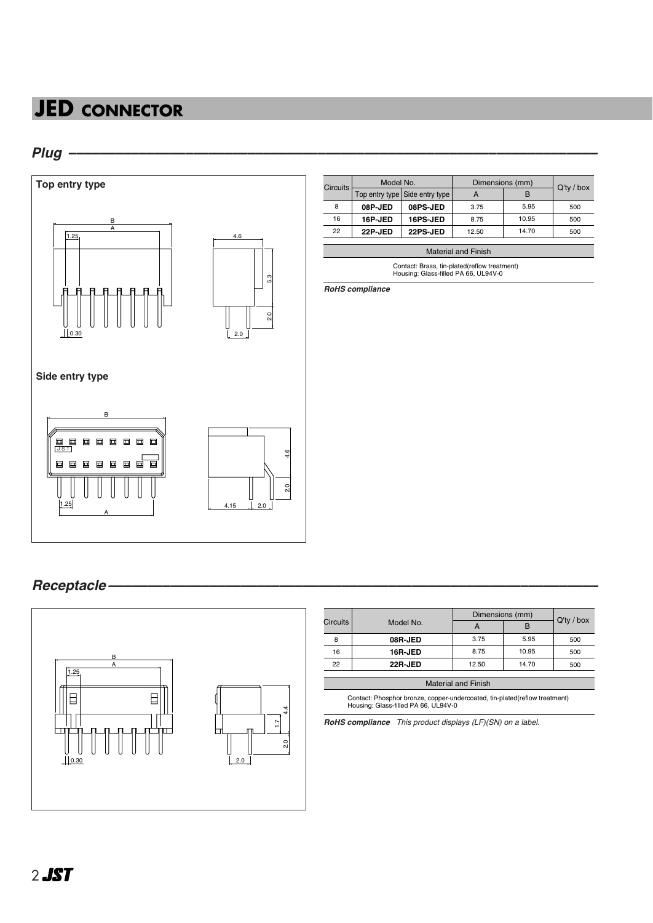# **JED CONNECTOR**

### *Plug ––––––––––––––––––––––––––––––––––––––––––––––––––––––––––––––––––––*



| <b>Circuits</b> | Model No. |                                | Dimensions (mm) |       | $Q'$ ty / box |
|-----------------|-----------|--------------------------------|-----------------|-------|---------------|
|                 |           | Top entry type Side entry type | А               | В     |               |
| 8               | 08P-JED   | 08PS-JED                       | 3.75            | 5.95  | 500           |
| 16              | 16P-JED   | 16PS-JED                       | 8.75            | 10.95 | 500           |
| 22              | 22P-JED   | 22PS-JED                       | 12.50           | 14.70 | 500           |

Material and Finish

Contact: Brass, tin-plated(reflow treatment) Housing: Glass-filled PA 66, UL94V-0

*RoHS compliance*

### *Receptacle –––––––––––––––––––––––––––––––––––––––––––––––––––––––––––––––*



| Circuits | Model No. | Dimensions (mm) |       |            |
|----------|-----------|-----------------|-------|------------|
|          |           |                 | в     | Q'ty / box |
| 8        | 08R-JED   | 3.75            | 5.95  | 500        |
| 16       | 16R-JED   | 8.75            | 10.95 | 500        |
| 22       | 22R-JED   | 12.50           | 14.70 | 500        |

| <b>Material and Finish</b>                                                                                         |  |  |  |  |
|--------------------------------------------------------------------------------------------------------------------|--|--|--|--|
| Contact: Phosphor bronze, copper-undercoated, tin-plated(reflow treatment)<br>Housing: Glass-filled PA 66, UL94V-0 |  |  |  |  |

*RoHS compliance This product displays (LF)(SN) on a label.*